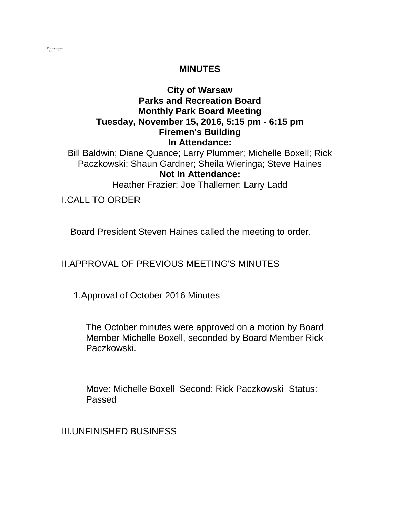| ۳ |  |
|---|--|
|   |  |
|   |  |
|   |  |
|   |  |

## **MINUTES**

## **City of Warsaw Parks and Recreation Board Monthly Park Board Meeting Tuesday, November 15, 2016, 5:15 pm - 6:15 pm Firemen's Building In Attendance:**

Bill Baldwin; Diane Quance; Larry Plummer; Michelle Boxell; Rick Paczkowski; Shaun Gardner; Sheila Wieringa; Steve Haines **Not In Attendance:** 

Heather Frazier; Joe Thallemer; Larry Ladd

I.CALL TO ORDER

Board President Steven Haines called the meeting to order.

II.APPROVAL OF PREVIOUS MEETING'S MINUTES

1.Approval of October 2016 Minutes

The October minutes were approved on a motion by Board Member Michelle Boxell, seconded by Board Member Rick Paczkowski.

Move: Michelle Boxell Second: Rick Paczkowski Status: Passed

III.UNFINISHED BUSINESS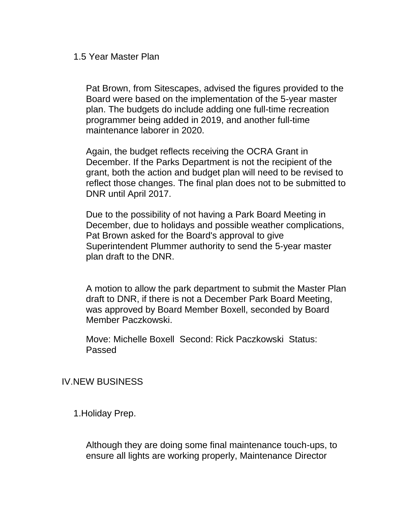1.5 Year Master Plan

Pat Brown, from Sitescapes, advised the figures provided to the Board were based on the implementation of the 5-year master plan. The budgets do include adding one full-time recreation programmer being added in 2019, and another full-time maintenance laborer in 2020.

Again, the budget reflects receiving the OCRA Grant in December. If the Parks Department is not the recipient of the grant, both the action and budget plan will need to be revised to reflect those changes. The final plan does not to be submitted to DNR until April 2017.

Due to the possibility of not having a Park Board Meeting in December, due to holidays and possible weather complications, Pat Brown asked for the Board's approval to give Superintendent Plummer authority to send the 5-year master plan draft to the DNR.

A motion to allow the park department to submit the Master Plan draft to DNR, if there is not a December Park Board Meeting, was approved by Board Member Boxell, seconded by Board Member Paczkowski.

Move: Michelle Boxell Second: Rick Paczkowski Status: Passed

## IV.NEW BUSINESS

1.Holiday Prep.

Although they are doing some final maintenance touch-ups, to ensure all lights are working properly, Maintenance Director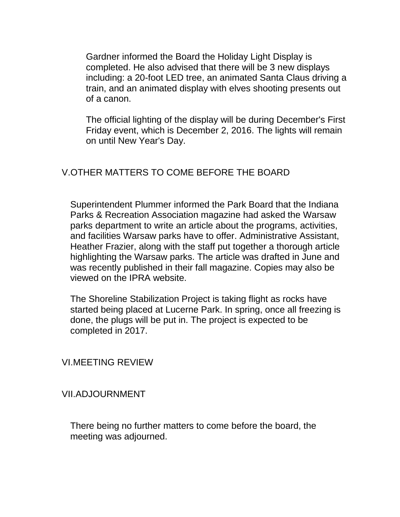Gardner informed the Board the Holiday Light Display is completed. He also advised that there will be 3 new displays including: a 20-foot LED tree, an animated Santa Claus driving a train, and an animated display with elves shooting presents out of a canon.

The official lighting of the display will be during December's First Friday event, which is December 2, 2016. The lights will remain on until New Year's Day.

## V.OTHER MATTERS TO COME BEFORE THE BOARD

Superintendent Plummer informed the Park Board that the Indiana Parks & Recreation Association magazine had asked the Warsaw parks department to write an article about the programs, activities, and facilities Warsaw parks have to offer. Administrative Assistant, Heather Frazier, along with the staff put together a thorough article highlighting the Warsaw parks. The article was drafted in June and was recently published in their fall magazine. Copies may also be viewed on the IPRA website.

The Shoreline Stabilization Project is taking flight as rocks have started being placed at Lucerne Park. In spring, once all freezing is done, the plugs will be put in. The project is expected to be completed in 2017.

VI.MEETING REVIEW

VII.ADJOURNMENT

There being no further matters to come before the board, the meeting was adjourned.